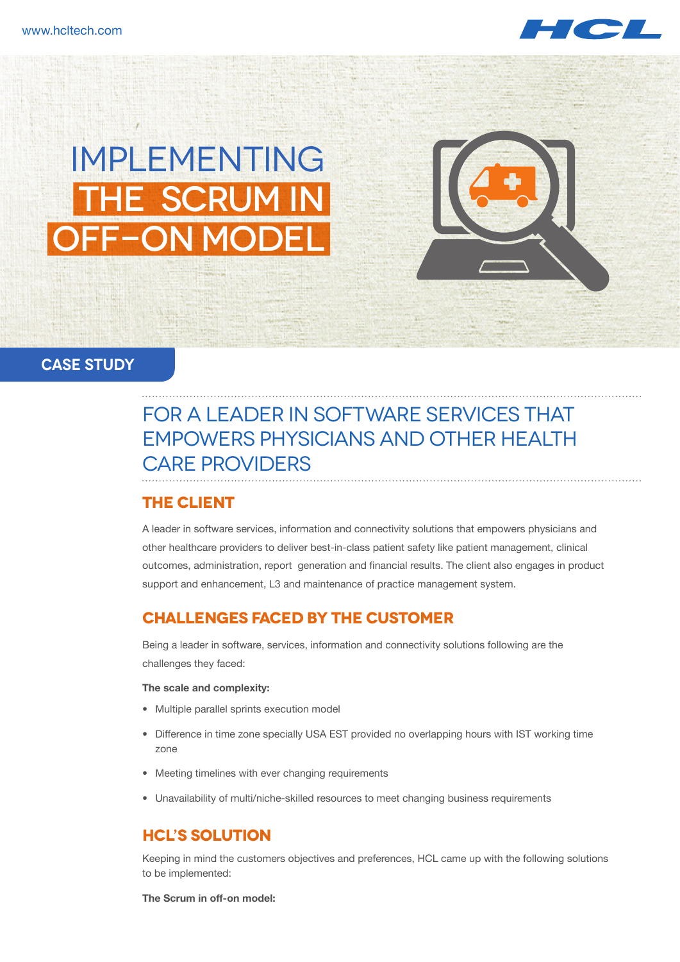

# Implementing The Scrum in OFF-ON MOD

#### **CASE STUDy**

## for a leader in Software Services that empowers physicians and other health care providers

#### **THE Client**

A leader in software services, information and connectivity solutions that empowers physicians and other healthcare providers to deliver best-in-class patient safety like patient management, clinical outcomes, administration, report generation and financial results. The client also engages in product support and enhancement, L3 and maintenance of practice management system.

### **CHALLENGES FACED BY THE CUSTOMER**

Being a leader in software, services, information and connectivity solutions following are the challenges they faced:

#### **The scale and complexity:**

- Multiple parallel sprints execution model
- Difference in time zone specially USA EST provided no overlapping hours with IST working time zone
- Meeting timelines with ever changing requirements
- Unavailability of multi/niche-skilled resources to meet changing business requirements

#### **HCL's SOLUTION**

Keeping in mind the customers objectives and preferences, HCL came up with the following solutions to be implemented:

**The Scrum in off-on model:**